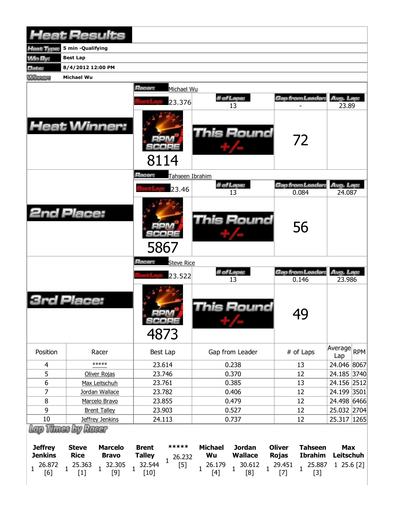| <b>Heat Results</b>                          |                             |                                   |                               |                                 |                                 |                                 |                |                               |                                  |                                |  |
|----------------------------------------------|-----------------------------|-----------------------------------|-------------------------------|---------------------------------|---------------------------------|---------------------------------|----------------|-------------------------------|----------------------------------|--------------------------------|--|
| Heat Type:                                   | 5 min -Qualifying           |                                   |                               |                                 |                                 |                                 |                |                               |                                  |                                |  |
| <b>Win By:</b>                               | <b>Best Lap</b>             |                                   |                               |                                 |                                 |                                 |                |                               |                                  |                                |  |
| <b>Date:</b>                                 | 8/4/2012 12:00 PM           |                                   |                               |                                 |                                 |                                 |                |                               |                                  |                                |  |
| <b>MARGARY</b>                               | <b>Michael Wu</b>           |                                   |                               |                                 |                                 |                                 |                |                               |                                  |                                |  |
|                                              |                             |                                   | Hacer:                        | Michael Wu                      |                                 |                                 |                |                               |                                  |                                |  |
|                                              |                             |                                   |                               | 23.376                          |                                 | # of Laps:                      |                |                               | Gap from Leader:                 | Avg. Lap:                      |  |
|                                              |                             |                                   |                               |                                 |                                 | 13                              |                |                               |                                  | 23.89                          |  |
| <b>Heat Winner:</b>                          |                             |                                   | 8114                          |                                 |                                 | This Round                      |                |                               | 72                               |                                |  |
|                                              |                             |                                   | Racer:                        | Tahseen Ibrahim                 |                                 |                                 |                |                               |                                  |                                |  |
|                                              |                             |                                   |                               | 23.46                           |                                 | # of Laps:                      |                |                               | Gap from Leader                  | Avg. Lap:                      |  |
|                                              |                             |                                   |                               |                                 |                                 | 13                              |                |                               | 0.084                            | 24.087                         |  |
| <b>2nd Place:</b>                            |                             |                                   | 5867                          |                                 |                                 | <b>This Round</b>               |                |                               | 56                               |                                |  |
|                                              |                             |                                   | Racer:                        | <b>Steve Rice</b>               |                                 |                                 |                |                               |                                  |                                |  |
|                                              |                             |                                   |                               | 23.522                          |                                 | # of Laps:<br>13                |                |                               | Gap from Leader.<br>0.146        | Avg. Lap:<br>23.986            |  |
|                                              | Place:                      |                                   | 4873                          | oon<br>SCORE                    |                                 | This Round                      |                |                               | 49                               |                                |  |
| Position                                     |                             | Racer                             |                               | Best Lap                        |                                 | Gap from Leader                 |                |                               | # of Laps                        | Average RPM<br>Lap             |  |
| $\overline{4}$                               |                             | *****                             |                               | 23.614                          |                                 | 0.238                           |                |                               | 13                               | 24.046 8067                    |  |
| 5                                            |                             | Oliver Rojas                      |                               | 23.746                          | 0.370                           |                                 |                | 12                            |                                  | 24.185 3740                    |  |
| 6                                            |                             | Max Leitschuh                     | 23.761                        |                                 | 0.385                           |                                 |                | 13                            |                                  | 24.156 2512                    |  |
| $\overline{7}$<br>8                          |                             | Jordan Wallace<br>Marcelo Bravo   | 23.782                        |                                 | 0.406<br>0.479                  |                                 |                | 12<br>12                      |                                  | 24.199 3501<br>24.498 6466     |  |
| 9                                            |                             |                                   | 23.855<br>23.903              |                                 | 0.527                           |                                 |                | 12                            |                                  | 25.032 2704                    |  |
| <b>Brent Talley</b><br>10<br>Jeffrey Jenkins |                             | 24.113                            |                               | 0.737                           |                                 |                                 | 12             |                               | 25.317 1265                      |                                |  |
| Lap Thues by Racer                           |                             |                                   |                               |                                 |                                 |                                 |                |                               |                                  |                                |  |
| <b>Jeffrey</b><br><b>Jenkins</b>             | <b>Steve</b><br><b>Rice</b> | <b>Marcelo</b><br><b>Bravo</b>    | <b>Brent</b><br><b>Talley</b> | *****<br>26.232<br>$\mathbf{1}$ | <b>Michael</b><br>Wu            | <b>Jordan</b><br><b>Wallace</b> |                | <b>Oliver</b><br><b>Rojas</b> | <b>Tahseen</b><br><b>Ibrahim</b> | <b>Max</b><br><b>Leitschuh</b> |  |
| 26.872<br>1<br>[6]                           | 25.363<br>$[1]$             | 32.305<br>$\overline{1}$<br>$[9]$ | 32.544<br>1<br>$[10]$         | $[5]$                           | 26.179<br>$\mathbf{1}$<br>$[4]$ | 30.612<br>[8]                   | $\overline{1}$ | 29.451<br>$[7]$               | 25.887<br>$[3]$                  | 125.6[2]                       |  |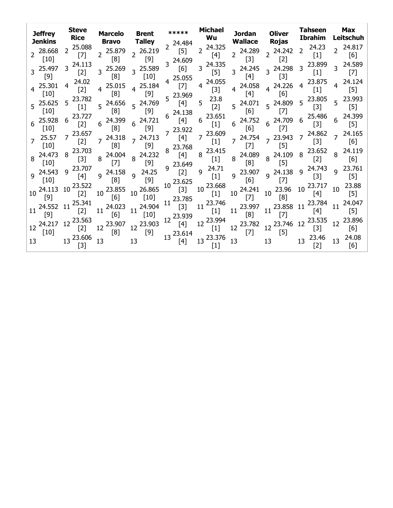| <b>Jeffrey</b><br>Jenkins          | <b>Steve</b><br><b>Rice</b>       | <b>Marcelo</b><br>Bravo         | <b>Brent</b><br><b>Talley</b>    | $*****$<br>$2^{24.484}$ | <b>Michael</b><br>Wu              | Jordan<br><b>Wallace</b> | <b>Oliver</b><br><b>Rojas</b> | Tahseen<br><b>Ibrahim</b>         | <b>Max</b><br>Leitschuh                     |
|------------------------------------|-----------------------------------|---------------------------------|----------------------------------|-------------------------|-----------------------------------|--------------------------|-------------------------------|-----------------------------------|---------------------------------------------|
| 2 28.668<br>$\lceil 10 \rceil$     | 25.088<br>$\overline{2}$<br>$[7]$ | 2 25.879<br>[8]                 | $2^{26.219}$<br>$[9]$            | $[5]$<br>24.609         | 24.325<br>$\overline{2}$<br>$[4]$ | $2^{24.289}$<br>$[3]$    | $2^{24.242}$<br>$[2]$         | 24.23<br>$\overline{2}$<br>$[1]$  | 24.817<br>[6]                               |
| $3^{25.497}$<br>$[9]$              | $3^{24.113}$<br>$[2]$             | 3 25.269<br>[8]                 | 3 25.589<br>$[10]$               | [6]<br>25.055           | $3^{24.335}$<br>$[5]$             | $3^{24.245}$<br>[4]      | $3^{24.298}$<br>$[3]$         | 3 23.899<br>$[1]$                 | 3 24.589<br>[7]                             |
| 25.301<br>$[10]$                   | 24.02<br>4<br>$[2]$               | 25.015<br>$\overline{4}$<br>[8] | $4^{25.184}$<br>$[9]$            | $[7]$<br>5 23.969       | 24.055<br>4<br>$[3]$              | 4 24.058<br>$[4]$        | 4 24.226<br>[6]               | 23.875<br>$\overline{4}$<br>$[1]$ | 24.124<br>$\lceil 5 \rceil$                 |
| $5^{25.625}$<br>[10]               | $5^{23.782}$<br>$[1]$             | 24.656<br>5<br>[8]              | 5 24.769<br>$[9]$                | [4]<br>24.138           | 23.8<br>5<br>$[2]$                | 24.071<br>5<br>[6]       | 5 24.809<br>$[7]$             | $5^{23.805}$<br>$[3]$             | 5 23.993<br>$[5]$                           |
| 25.928<br>$[10]$                   | $6^{23.727}$<br>$[2]$             | 24.399<br>6<br>[8]              | $6^{24.721}$<br>$[9]$            | 6<br>[4]<br>23.922      | $6^{23.651}$<br>$[1]$             | 24.752<br>6<br>[6]       | 6 24.709<br>$[7]$             | 25.486<br>6<br>$[3]$              | 24.399<br>$[5]$                             |
| 25.57<br>[10]                      | 23.657<br>$[2]$                   | $7^{24.318}$<br>[8]             | $7^{24.713}$<br>$[9]$            | [4]<br>8 23.768         | 23.609<br>$[1]$                   | 7 24.754<br>$[7]$        | 7 23.943<br>$[5]$             | 24.862<br>$\overline{7}$<br>$[3]$ | 24.165<br>$\overline{7}$<br>[6]             |
| $8^{24.473}$<br>$\lceil 10 \rceil$ | 23.703<br>8<br>$[3]$              | 8 24.004<br>$[7]$               | $8^{24.232}$<br>$[9]$            | $[4]$<br>9 23.649       | 23.415<br>8<br>$[1]$              | 8 24.089<br>[8]          | 8 24.109<br>$[5]$             | 23.652<br>8<br>$[2]$              | 24.119<br>8<br>[6]                          |
| $9^{24.543}$<br>$\lceil 10 \rceil$ | 9 23.707<br>[4]                   | 9 24.158<br>[8]                 | 24.25<br>$\overline{9}$<br>$[9]$ | $[2]$<br>10 23.625      | 24.71<br>9<br>$[1]$               | 9 23.907<br>[6]          | 9 24.138<br>$[7]$             | 9 24.743<br>$[3]$                 | 23.761<br>$\mathsf{q}$<br>$\lceil 5 \rceil$ |
| 24.113<br>10<br>[9]                | 23.522<br>10<br>$[2]$             | 10 23.855<br>[6]                | 10 26.865<br>$[10]$              | $[3]$<br>11 23.785      | 23.668<br>10<br>$[1]$             | 10 24.241<br>$[7]$       | $10^{23.96}$<br>[8]           | 10 23.717<br>$[4]$                | 23.88<br>10<br>[5]                          |
| 24.552 11<br>[9]                   | 25.341<br>$[2]$                   | 24.023<br>11<br>[6]             | 11 24.904<br>$[10]$              | $[3]$<br>12 23.939      | 11 23.746<br>$[1]$                | 23.997<br>11<br>[8]      | $11^{23.858}$<br>$[7]$        | 23.784<br>11<br>$[4]$             | 24.047<br>11<br>$\lceil 5 \rceil$           |
| 12 24.217<br>$[10]$                | 12 23.563<br>$[2]$                | 23.907<br>12<br>[8]             | 12 23.903<br>$[9]$               | [4]<br>13 23.614        | 12 23.994<br>$[1]$                | 12 23.782<br>$[7]$       | 12 23.746<br>$[5]$            | 23.535<br>12<br>$[3]$             | 23.896<br>12<br>[6]                         |
| 13                                 | 13 23.606<br>$\lceil 3 \rceil$    | 13                              | 13                               | [4]                     | 13 23.376<br>[1]                  | 13                       | 13                            | 23.46<br>13<br>[2]                | 24.08<br>13<br>[6]                          |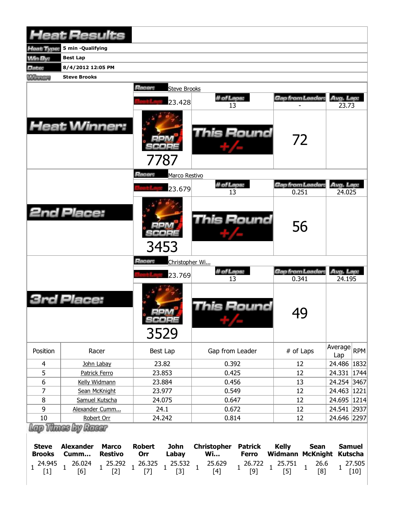|                                                                  | <b>Heat Results</b>                                                             |                                                                   |                                                         |                                                         |                                                                    |                                                                                   |                                                                                           |                                                                |                  |
|------------------------------------------------------------------|---------------------------------------------------------------------------------|-------------------------------------------------------------------|---------------------------------------------------------|---------------------------------------------------------|--------------------------------------------------------------------|-----------------------------------------------------------------------------------|-------------------------------------------------------------------------------------------|----------------------------------------------------------------|------------------|
| Heat Type:                                                       | 5 min -Qualifying                                                               |                                                                   |                                                         |                                                         |                                                                    |                                                                                   |                                                                                           |                                                                |                  |
| <b>Min By:</b>                                                   | <b>Best Lap</b>                                                                 |                                                                   |                                                         |                                                         |                                                                    |                                                                                   |                                                                                           |                                                                |                  |
| Date:                                                            | 8/4/2012 12:05 PM                                                               |                                                                   |                                                         |                                                         |                                                                    |                                                                                   |                                                                                           |                                                                |                  |
| <b>Williams</b>                                                  | <b>Steve Brooks</b>                                                             |                                                                   |                                                         |                                                         |                                                                    |                                                                                   |                                                                                           |                                                                |                  |
|                                                                  | <b>Heat Winner:</b>                                                             |                                                                   | Racer:                                                  | <b>Steve Brooks</b><br>23.428<br>7787                   | # of Laps:<br>13<br>This Round                                     |                                                                                   | <b>Gap from Leader:</b><br>72                                                             | Avg. Lap:<br>23.73                                             |                  |
|                                                                  |                                                                                 |                                                                   | Racer:                                                  | Marco Restivo                                           |                                                                    |                                                                                   |                                                                                           |                                                                |                  |
|                                                                  |                                                                                 |                                                                   |                                                         |                                                         | # of Laps:                                                         |                                                                                   | <b>Gap from Leader</b>                                                                    | Avg. Lap:                                                      |                  |
|                                                                  |                                                                                 |                                                                   |                                                         | 23.679                                                  | 13                                                                 |                                                                                   | 0.251                                                                                     | 24.025                                                         |                  |
|                                                                  | <b>2nd Place:</b>                                                               |                                                                   |                                                         | 3453                                                    | <b>This Round</b>                                                  |                                                                                   | 56                                                                                        |                                                                |                  |
|                                                                  |                                                                                 |                                                                   | Racer:                                                  | Christopher Wi                                          |                                                                    |                                                                                   |                                                                                           |                                                                |                  |
|                                                                  |                                                                                 |                                                                   |                                                         | 23.769                                                  | # of Laps:<br>13                                                   |                                                                                   | Gap from Leader:<br>0.341                                                                 | Avg. Lap:<br>24.195                                            |                  |
|                                                                  | Place:                                                                          |                                                                   |                                                         | $=1.021(4)$<br>SCORE<br>3529                            |                                                                    | his Round                                                                         | 49                                                                                        |                                                                |                  |
| Position                                                         |                                                                                 | Racer                                                             |                                                         | Best Lap                                                | Gap from Leader                                                    |                                                                                   | # of Laps                                                                                 | Average<br>Lap                                                 | <b>RPM</b>       |
| 4                                                                |                                                                                 | John Labay                                                        |                                                         | 23.82                                                   | 0.392                                                              |                                                                                   | 12                                                                                        | 24.486   1832                                                  |                  |
| 5                                                                |                                                                                 | Patrick Ferro                                                     |                                                         | 23.853                                                  | 0.425                                                              |                                                                                   | 12                                                                                        | 24.331 1744                                                    |                  |
| 6                                                                |                                                                                 | Kelly Widmann                                                     |                                                         | 23.884                                                  | 0.456                                                              |                                                                                   | 13                                                                                        | 24.254 3467                                                    |                  |
| 7                                                                |                                                                                 | Sean McKnight                                                     |                                                         | 23.977                                                  | 0.549                                                              |                                                                                   | 12                                                                                        | 24.463                                                         | 1221             |
| 8                                                                |                                                                                 | Samuel Kutscha                                                    | 24.075                                                  |                                                         | 0.647                                                              |                                                                                   | 12                                                                                        | 24.695 1214                                                    |                  |
| 9<br>10                                                          |                                                                                 | Alexander Cumm                                                    |                                                         | 24.1                                                    | 0.672<br>0.814                                                     |                                                                                   | 12<br>12                                                                                  | 24.541 2937                                                    |                  |
|                                                                  |                                                                                 | Robert Orr                                                        |                                                         | 24.242                                                  |                                                                    |                                                                                   |                                                                                           | 24.646 2297                                                    |                  |
| <b>Steve</b><br><b>Brooks</b><br>24.945<br>$\mathbf{1}$<br>$[1]$ | Lap Thass by Racer<br><b>Alexander</b><br>Cumm<br>26.024<br>$\mathbf{1}$<br>[6] | <b>Marco</b><br><b>Restivo</b><br>25.292<br>$\mathbf{1}$<br>$[2]$ | <b>Robert</b><br>Orr<br>26.325<br>$\mathbf{1}$<br>$[7]$ | <b>John</b><br>Labay<br>25.532<br>$\mathbf{1}$<br>$[3]$ | <b>Christopher</b><br><b>Wi</b><br>25.629<br>$\mathbf{1}$<br>$[4]$ | <b>Patrick</b><br><b>Ferro</b><br>26.722<br>$\mathbf{1}$<br>$\mathbf{1}$<br>$[9]$ | <b>Kelly</b><br><b>Sean</b><br><b>Widmann McKnight</b><br>25.751<br>$\mathbf{1}$<br>$[5]$ | <b>Samuel</b><br><b>Kutscha</b><br>26.6<br>$\mathbf{1}$<br>[8] | 27.505<br>$[10]$ |